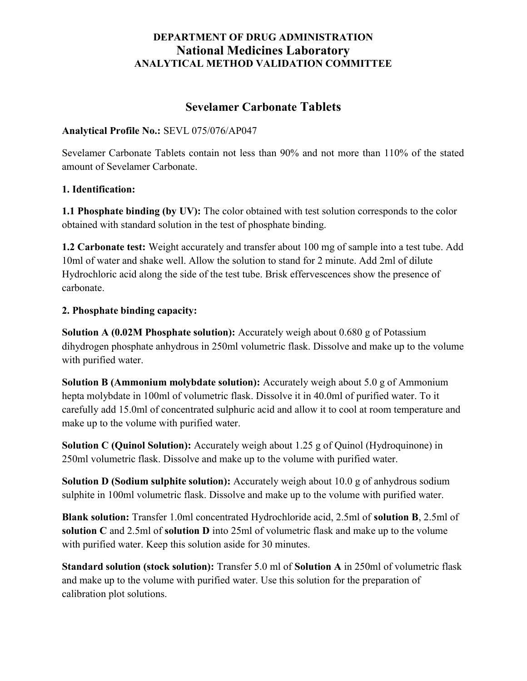# Sevelamer Carbonate Tablets

### Analytical Profile No.: SEVL 075/076/AP047

Sevelamer Carbonate Tablets contain not less than 90% and not more than 110% of the stated amount of Sevelamer Carbonate.

### 1. Identification:

1.1 Phosphate binding (by UV): The color obtained with test solution corresponds to the color obtained with standard solution in the test of phosphate binding.

1.2 Carbonate test: Weight accurately and transfer about 100 mg of sample into a test tube. Add 10ml of water and shake well. Allow the solution to stand for 2 minute. Add 2ml of dilute Hydrochloric acid along the side of the test tube. Brisk effervescences show the presence of carbonate.

#### 2. Phosphate binding capacity:

Solution A (0.02M Phosphate solution): Accurately weigh about 0.680 g of Potassium dihydrogen phosphate anhydrous in 250ml volumetric flask. Dissolve and make up to the volume with purified water.

Solution B (Ammonium molybdate solution): Accurately weigh about 5.0 g of Ammonium hepta molybdate in 100ml of volumetric flask. Dissolve it in 40.0ml of purified water. To it carefully add 15.0ml of concentrated sulphuric acid and allow it to cool at room temperature and make up to the volume with purified water.

Solution C (Quinol Solution): Accurately weigh about 1.25 g of Quinol (Hydroquinone) in 250ml volumetric flask. Dissolve and make up to the volume with purified water.

Solution D (Sodium sulphite solution): Accurately weigh about 10.0 g of anhydrous sodium sulphite in 100ml volumetric flask. Dissolve and make up to the volume with purified water.

Blank solution: Transfer 1.0ml concentrated Hydrochloride acid, 2.5ml of solution B, 2.5ml of solution C and 2.5ml of solution D into 25ml of volumetric flask and make up to the volume with purified water. Keep this solution aside for 30 minutes.

Standard solution (stock solution): Transfer 5.0 ml of Solution A in 250ml of volumetric flask and make up to the volume with purified water. Use this solution for the preparation of calibration plot solutions.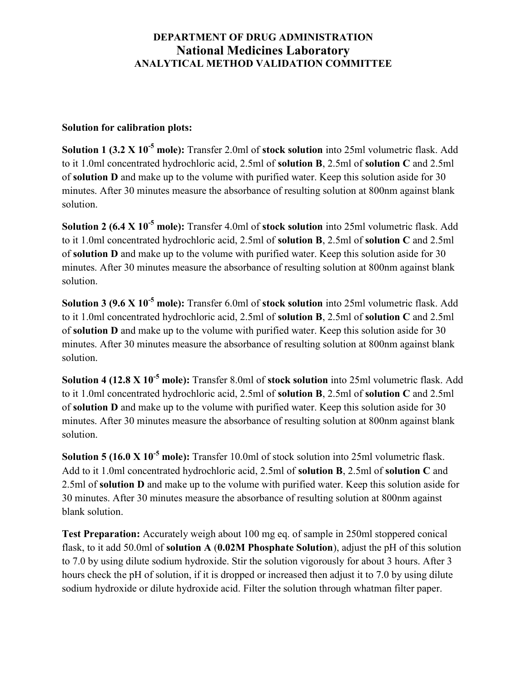### Solution for calibration plots:

Solution 1 (3.2 X 10<sup>-5</sup> mole): Transfer 2.0ml of stock solution into 25ml volumetric flask. Add to it 1.0ml concentrated hydrochloric acid, 2.5ml of solution B, 2.5ml of solution C and 2.5ml of solution D and make up to the volume with purified water. Keep this solution aside for 30 minutes. After 30 minutes measure the absorbance of resulting solution at 800nm against blank solution.

Solution 2 (6.4  $X$  10<sup>-5</sup> mole): Transfer 4.0ml of stock solution into 25ml volumetric flask. Add to it 1.0ml concentrated hydrochloric acid, 2.5ml of solution B, 2.5ml of solution C and 2.5ml of solution D and make up to the volume with purified water. Keep this solution aside for 30 minutes. After 30 minutes measure the absorbance of resulting solution at 800nm against blank solution.

Solution 3 (9.6 X 10<sup>-5</sup> mole): Transfer 6.0ml of stock solution into 25ml volumetric flask. Add to it 1.0ml concentrated hydrochloric acid, 2.5ml of solution B, 2.5ml of solution C and 2.5ml of solution D and make up to the volume with purified water. Keep this solution aside for 30 minutes. After 30 minutes measure the absorbance of resulting solution at 800nm against blank solution.

Solution 4 (12.8 X 10<sup>-5</sup> mole): Transfer 8.0ml of stock solution into 25ml volumetric flask. Add to it 1.0ml concentrated hydrochloric acid, 2.5ml of solution B, 2.5ml of solution C and 2.5ml of solution D and make up to the volume with purified water. Keep this solution aside for 30 minutes. After 30 minutes measure the absorbance of resulting solution at 800nm against blank solution.

Solution 5 (16.0 X  $10^{-5}$  mole): Transfer 10.0ml of stock solution into 25ml volumetric flask. Add to it 1.0ml concentrated hydrochloric acid, 2.5ml of solution B, 2.5ml of solution C and 2.5ml of solution D and make up to the volume with purified water. Keep this solution aside for 30 minutes. After 30 minutes measure the absorbance of resulting solution at 800nm against blank solution.

Test Preparation: Accurately weigh about 100 mg eq. of sample in 250ml stoppered conical flask, to it add 50.0ml of solution A (0.02M Phosphate Solution), adjust the pH of this solution to 7.0 by using dilute sodium hydroxide. Stir the solution vigorously for about 3 hours. After 3 hours check the pH of solution, if it is dropped or increased then adjust it to 7.0 by using dilute sodium hydroxide or dilute hydroxide acid. Filter the solution through whatman filter paper.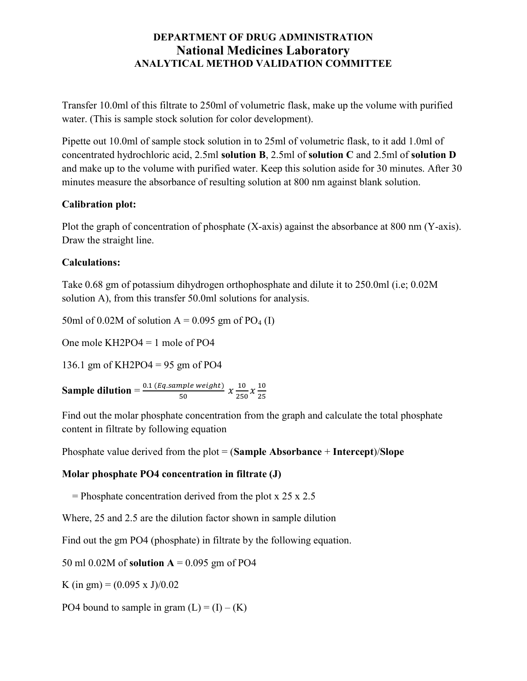Transfer 10.0ml of this filtrate to 250ml of volumetric flask, make up the volume with purified water. (This is sample stock solution for color development).

Pipette out 10.0ml of sample stock solution in to 25ml of volumetric flask, to it add 1.0ml of concentrated hydrochloric acid, 2.5ml solution B, 2.5ml of solution C and 2.5ml of solution D and make up to the volume with purified water. Keep this solution aside for 30 minutes. After 30 minutes measure the absorbance of resulting solution at 800 nm against blank solution.

### Calibration plot:

Plot the graph of concentration of phosphate (X-axis) against the absorbance at 800 nm (Y-axis). Draw the straight line.

### Calculations:

Take 0.68 gm of potassium dihydrogen orthophosphate and dilute it to 250.0ml (i.e; 0.02M solution A), from this transfer 50.0ml solutions for analysis.

50ml of 0.02M of solution  $A = 0.095$  gm of PO<sub>4</sub> (I)

One mole KH2PO4 = 1 mole of PO4

136.1 gm of KH2PO4 = 95 gm of PO4

**Sample dilution** =  $\frac{0.1 (Eq. sample weight)}{50}$  $\frac{mple\ weight)}{50}\ \mathcal{X}\frac{10}{250}$  $\frac{10}{250} \chi \frac{10}{25}$ ଶହ

Find out the molar phosphate concentration from the graph and calculate the total phosphate content in filtrate by following equation

Phosphate value derived from the plot  $=$  (Sample Absorbance + Intercept)/Slope

### Molar phosphate PO4 concentration in filtrate (J)

= Phosphate concentration derived from the plot  $x 25 x 2.5$ 

Where, 25 and 2.5 are the dilution factor shown in sample dilution

Find out the gm PO4 (phosphate) in filtrate by the following equation.

50 ml 0.02M of **solution**  $A = 0.095$  gm of PO4

K (in gm) =  $(0.095 \times J)/0.02$ 

PO4 bound to sample in gram  $(L) = (I) - (K)$